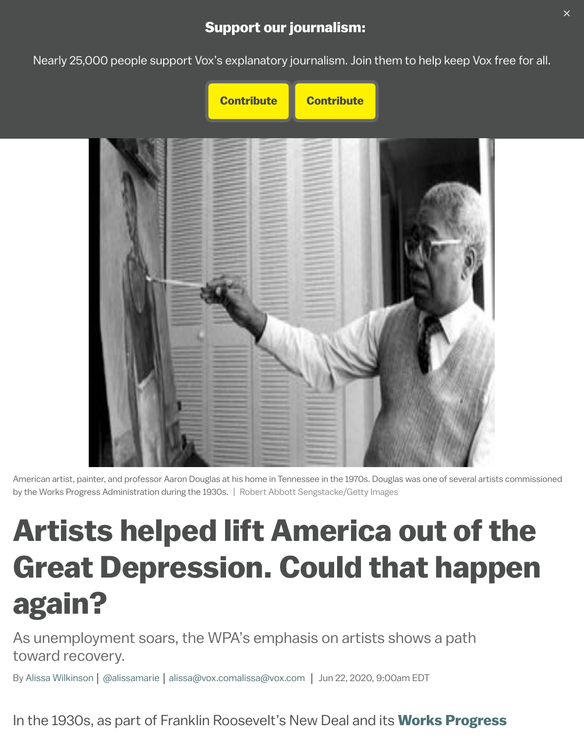



American artist, painter, and professor Aaron Douglas at his home in Tennessee in the 1970s. Douglas was one of several artis by the Works Progress Administration during the 1930s. | Robert Abbott Sengstacke/Getty Images

# **Artists helped lift America out of t Great Depression. Could that happen by** again?

As unemployment soars, the WPA's emphasis on artists shows a path toward recovery.

By Alissa Wilkinson | @alissamarie | alissa@vox.comalissa@vox.com | Jun 22, 2020, 9:00am EDT

In the 1930s, as part of Franklin Roosevelt's New Deal and its **Works Progres**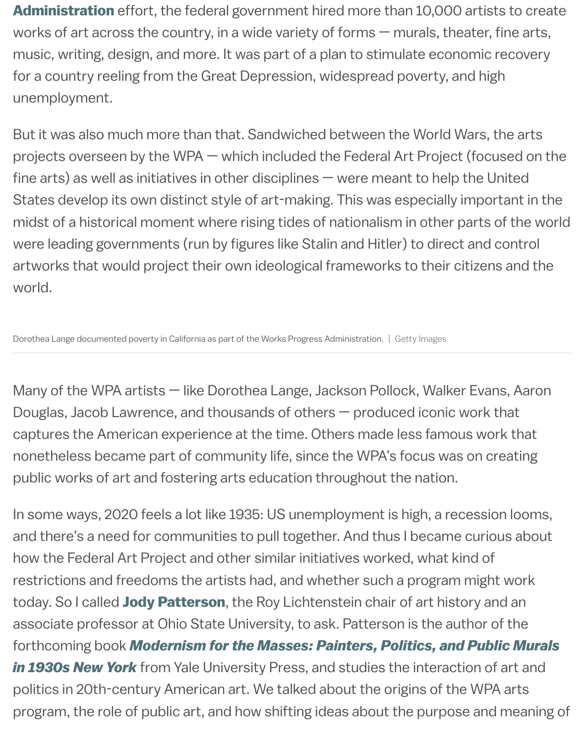[unemployment.](https://www.pbs.org/wgbh/americanexperience/features/surviving-the-dust-bowl-works-progress-administration-wpa/)

But it was also much more than that. Sandwiched between the World Wars, t projects overseen by the WPA — which included the Federal Art Project (focus fine arts) as well as initiatives in other disciplines  $-$  were meant to help the U States develop its own distinct style of art-making. This was especially impor midst of a historical moment where rising tides of nationalism in other parts of were leading governments (run by figures like Stalin and Hitler) to direct and o artworks that would project their own ideological frameworks to their citizen world.

Dorothea Lange documented poverty in California as part of the Works Progress Administration. | Getty Images

Many of the WPA artists — like Dorothea Lange, Jackson Pollock, Walker Evar Douglas, Jacob Lawrence, and thousands of others  $-$  produced iconic work to captures the American experience at the time. Others made less famous wo nonetheless became part of community life, since the WPA's focus was on creating public works of art and fostering arts education throughout the nation.

In some ways, 2020 feels a lot like 1935: US unemployment is high, a recession and there's a need for communities to pull together. And thus I became curious how the Federal Art Project and other similar initiatives worked, what kind of restrictions and freedoms the artists had, and whether such a program might today. So I called Jody Patterson, the Roy Lichtenstein chair of art history an associate professor at Ohio State University, to ask. Patterson is the author of forthcoming book *Modernism for the Masses: Painters, Politics, and Publ in 1930s New York* from Yale University Press, and studies the interaction of politics in 20th-century American art. We talked about the origins of the WPA program, the role [of public art, and](https://history-of-art.osu.edu/people/patterson.1187) how shifting ideas about the purpose and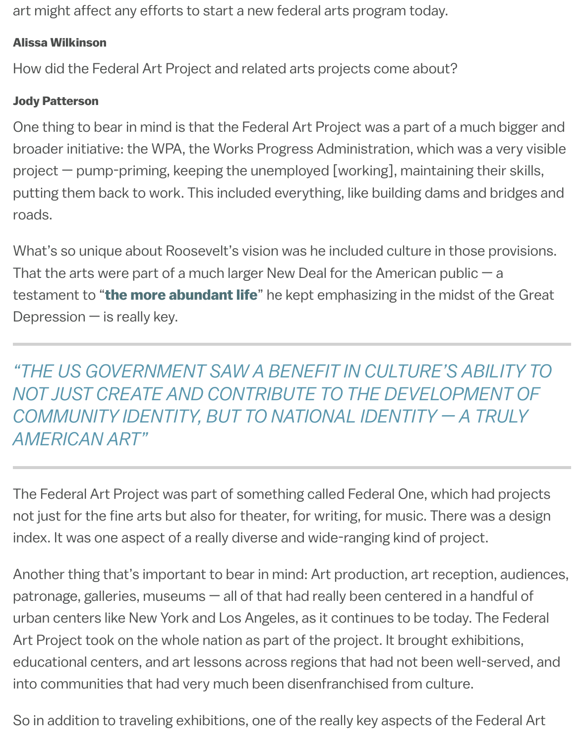#### Jody Patterson

One thing to bear in mind is that the Federal Art Project was a part of a much broader initiative: the WPA, the Works Progress Administration, which was a project  $-$  pump-priming, keeping the unemployed [working], maintaining the putting them back to work. This included everything, like building dams and b roads.

What's so unique about Roosevelt's vision was he included culture in those provisions. That the arts were part of a much larger New Deal for the American public  $$ testament to "the more abundant life" he kept emphasizing in the midst of Depression  $-$  is really key.

"THE US GOVERNMENT SAW A BENEFIT IN CULTURE'S ABIL *NOT JUST [CREATE AND CONTR](https://en.wikipedia.org/wiki/The_More_Abundant_Life)IBUTE TO THE DEVELOPMENT OF AND THE AND CONTRIBUTE TO THE DEVELOPMENT* COMMUNITY IDENTITY, BUT TO NATIONAL IDENTITY - A TR *AMERICAN ART"*

The Federal Art Project was part of something called Federal One, which had not just for the fine arts but also for theater, for writing, for music. There was index. It was one aspect of a really diverse and wide-ranging kind of project.

Another thing that's important to bear in mind: Art production, art reception, patronage, galleries, museums  $-$  all of that had really been centered in a hand urban centers like New York and Los Angeles, as it continues to be today. The Art Project took on the whole nation as part of the project. It brought exhibitions, educational centers, and art lessons across regions that had not been well-served, and into communities that had very much been disenfranchised from culture.

So in addition to traveling exhibitions, one of the really key aspects of the Fed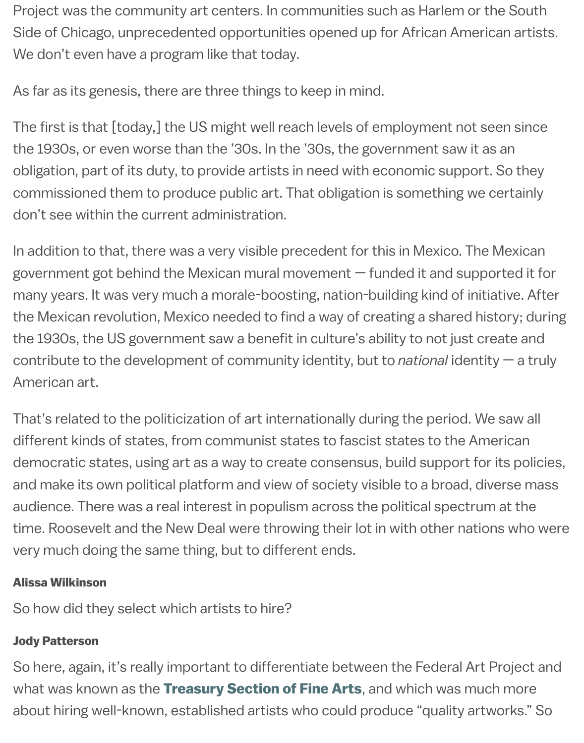The first is that [today,] the US might well reach levels of employment not se the 1930s, or even worse than the '30s. In the '30s, the government saw it as obligation, part of its duty, to provide artists in need with economic support. commissioned them to produce public art. That obligation is something we c don't see within the current administration.

In addition to that, there was a very visible precedent for this in Mexico. The M government got behind the Mexican mural movement  $-$  funded it and support many years. It was very much a morale-boosting, nation-building kind of initiative. the Mexican revolution, Mexico needed to find a way of creating a shared hist the 1930s, the US government saw a benefit in culture's ability to not just cre contribute to the development of community identity, but to *national* identity American art.

That's related to the politicization of art internationally during the period. We different kinds of states, from communist states to fascist states to the Ame democratic states, using art as a way to create consensus, build support for and make its own political platform and view of society visible to a broad, diver audience. There was a real interest in populism across the political spectrum time. Roosevelt and the New Deal were throwing their lot in with other nation very much doing the same thing, but to different ends.

#### Alissa Wilkinson

So how did they select which artists to hire?

### Jody Patterson

So here, again, it's really important to differentiate between the Federal Art P what was known as the Treasury Section of Fine Arts, and which was much about hiring well-known, established artists who could produce "quality artw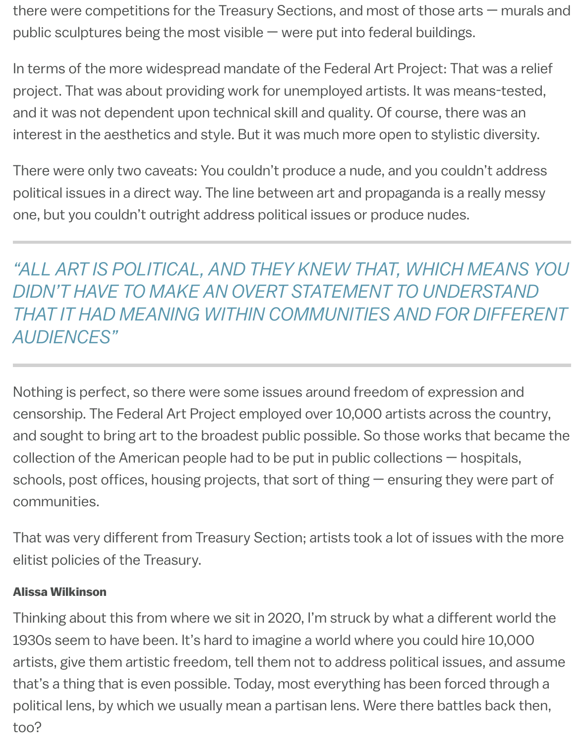there were competitions for the Treasury Sections, and most of those arts — murals and public sculptures being the most visible — were put into federal buildings.

In terms of the more widespread mandate of the Federal Art Project: That was a relief project. That was about providing work for unemployed artists. It was means-tested, and it was not dependent upon technical skill and quality. Of course, there was an interest in the aesthetics and style. But it was much more open to stylistic diversity.

There were only two caveats: You couldn't produce a nude, and you couldn't address political issues in a direct way. The line between art and propaganda is a really messy one, but you couldn't outright address political issues or produce nudes.

*"ALL ART IS POLITICAL, AND THEY KNEW THAT, WHICH MEANS YOU DIDN'T HAVE TO MAKE AN OVERT STATEMENT TO UNDERSTAND THAT IT HAD MEANING WITHIN COMMUNITIES AND FOR DIFFERENT AUDIENCES"*

Nothing is perfect, so there were some issues around freedom of expression and censorship. The Federal Art Project employed over 10,000 artists across the country, and sought to bring art to the broadest public possible. So those works that became the collection of the American people had to be put in public collections — hospitals, schools, post offices, housing projects, that sort of thing — ensuring they were part of communities.

That was very different from Treasury Section; artists took a lot of issues with the more elitist policies of the Treasury.

#### Alissa Wilkinson

Thinking about this from where we sit in 2020, I'm struck by what a different world the 1930s seem to have been. It's hard to imagine a world where you could hire 10,000 artists, give them artistic freedom, tell them not to address political issues, and assume that's a thing that is even possible. Today, most everything has been forced through a political lens, by which we usually mean a partisan lens. Were there battles back then, too?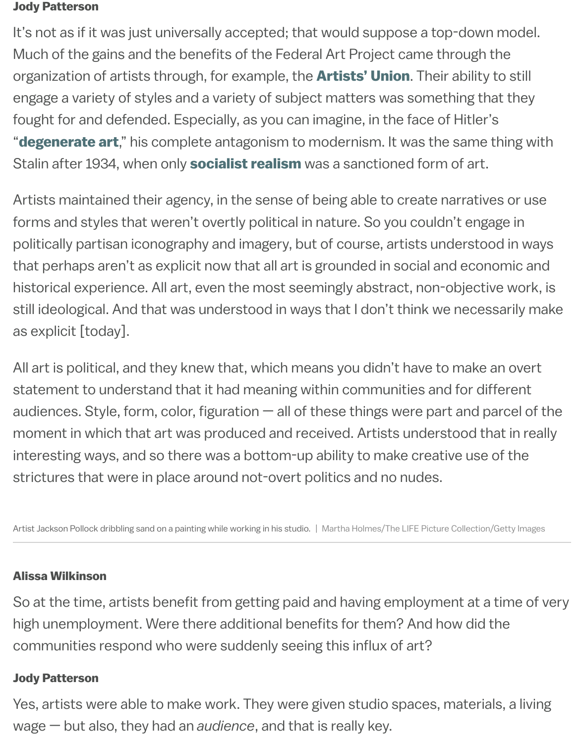engage a variety of styles and a variety of subject matters was something that they fought for and defended. Especially, as you can imagine, in the face of Hitler's **"degenerate art**," his complete antagonism to modernism. It was the same t Stalin after 1934, when only **socialist realism** w[as a sanctioned](https://en.wikipedia.org/wiki/Artists_Union) form of art.

Artists maintained their agency, in the sense of being able to create narrative forms and styles that weren't overtly political in nature. So you couldn't enga [politically partisa](https://www.moma.org/calendar/exhibitions/3868)n iconography and imagery, but of course, artists understoo that perhaps aren't as expli[cit now that all art](https://www.tate.org.uk/art/art-terms/s/socialist-realism) is grounded in social and economic and  $\epsilon$ historical experience. All art, even the most seemingly abstract, non-objective still ideological. And that was understood in ways that I don't think we necess as explicit [today].

All art is political, and they knew that, which means you didn't have to make a statement to understand that it had meaning within communities and for diff audiences. Style, form, color, figuration  $-$  all of these things were part and part moment in which that art was produced and received. Artists understood that interesting ways, and so there was a bottom-up ability to make creative use of strictures that were in place around not-overt politics and no nudes.

Artist Jackson Pollock dribbling sand on a painting while working in his studio. | Martha Holmes/The LIFE Picture Collection/(

#### Alissa Wilkinson

So at the time, artists benefit from getting paid and having employment at a t high unemployment. Were there additional benefits for them? And how did tl communities respond who were suddenly seeing this influx of art?

#### Jody Patterson

Yes, artists were able to make work. They were given studio spaces, material wage — but also, they had an *audience*, and that is really key.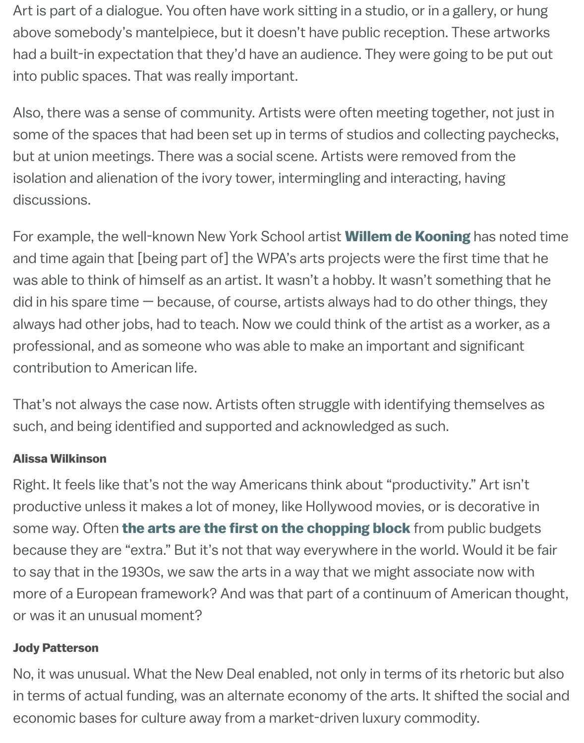Also, there was a sense of community. Artists were often meeting together, not in some of the spaces that had been set up in terms of studios and collecting p but at union meetings. There was a social scene. Artists were removed from isolation and alienation of the ivory tower, intermingling and interacting, havin discussions.

For example, the well-known New York School artist **Willem de Kooning** has and time again that [being part of] the WPA's arts projects were the first time was able to think of himself as an artist. It wasn't a hobby. It wasn't somethin did in his spare time  $-$  because, of course, artists always had to do other thir always had other jobs, had to teach. Now we could think of the artist as a wor professional, and as someone who was able to make [an important and sig](https://www.moma.org/artists/3213)nifi contribution to American life.

That's not always the case now. Artists often struggle with identifying thems such, and being identified and supported and acknowledged as such.

#### Alissa Wilkinson

Right. It feels like that's not the way Americans think about "productivity." Art productive unless it makes a lot of money, like Hollywood movies, or is decorative in some way. Often the arts are the first on the chopping block from public b because they are "extra." But it's not that way everywhere in the world. Would to say that in the 1930s, we saw the arts in a way that we might associate now more of a European framework? And was that part of a continuum of Americ or was it an unus[ual moment?](https://www.vox.com/culture/2017/3/20/14976042/nea-welfare-rich-liberal-elites-tucker-carlson?__c=1)

#### Jody Patterson

No, it was unusual. What the New Deal enabled, not only in terms of its rhetor in terms of actual funding, was an alternate economy of the arts. It shifted th economic bases for culture away from a market-driven luxury commodity.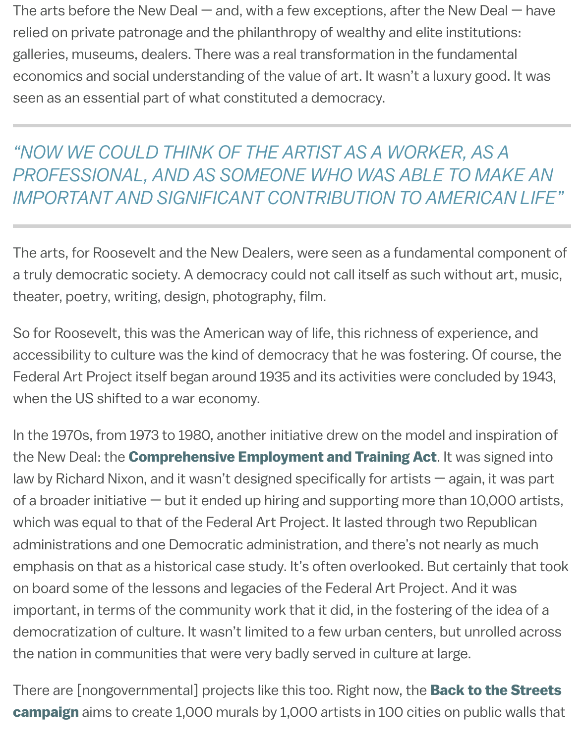"NOW WE COULD THINK OF THE ARTIST AS A WORKER, AS PROFESSIONAL, AND AS SOMEONE WHO WAS ABLE TO MA **IMPORTANT AND SIGNIFICANT CONTRIBUTION TO AMERICAN LIGHT AND SIGNIFICANT CONTRIBUTION TO AMERICA** 

The arts, for Roosevelt and the New Dealers, were seen as a fundamental cor a truly democratic society. A democracy could not call itself as such without theater, poetry, writing, design, photography, film.

So for Roosevelt, this was the American way of life, this richness of experience accessibility to culture was the kind of democracy that he was fostering. Of course, Federal Art Project itself began around 1935 and its activities were concluded when the US shifted to a war economy.

In the 1970s, from 1973 to 1980, another initiative drew on the model and inspiration the New Deal: the **Comprehensive Employment and Training Act**. It was sig law by Richard Nixon, and it wasn't designed specifically for artists  $-$  again, it of a broader initiative  $-$  but it ended up hiring and supporting more than 10,0 which was equal to that of the Federal Art Project. It lasted through two Repu administrations and one Democratic administration, and there's not nearly as emphasis on that [as a historical case study. It's often overlooked. Bu](https://en.wikipedia.org/wiki/Comprehensive_Employment_and_Training_Act)t certain on board some of the lessons and legacies of the Federal Art Project. And it w important, in terms of the community work that it did, in the fostering of the democratization of culture. It wasn't limited to a few urban centers, but unrol the nation in communities that were very badly served in culture at large.

There are [nongovernmental] projects like this too. Right now, the **Back to the Street Streets** campaign aims to create 1,000 murals by 1,000 artists in 100 cities on public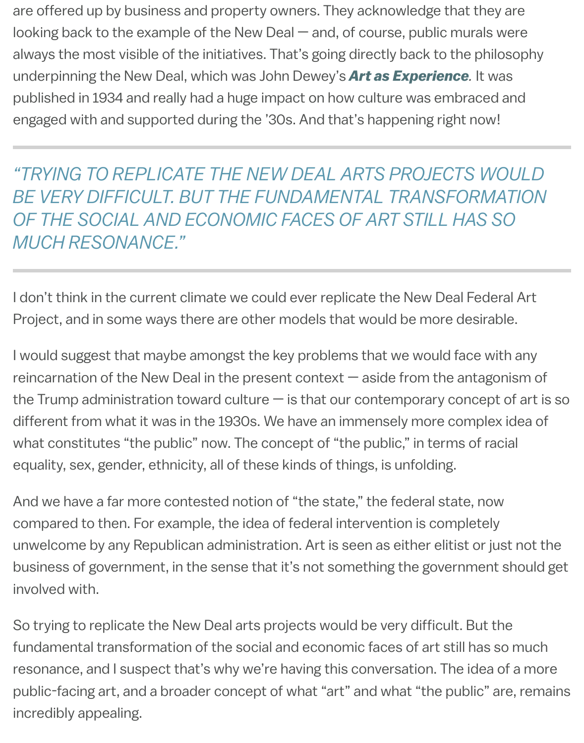published in 1934 and really had a huge impact on how culture was embraced and engaged with and supported during the '30s. And that's happening right now!

"TRYING TO REPLICATE THE NEW DEAL [ARTS PROJECTS](https://www.brainpickings.org/2016/02/11/art-as-experience-john-dewey/) W **BE VERY DIFFICULT. BUT THE FUNDAMENTAL TRANSFORM.** OF THE SOCIAL AND ECONOMIC FACES OF ART STILL HAS *MUCH RESONANCE."*

I don't think in the current climate we could ever replicate the New Deal Fede Project, and in some ways there are other models that would be more desira

I would suggest that maybe amongst the key problems that we would face w reincarnation of the New Deal in the present context  $-$  aside from the antagonism of the New Deal in the present context  $$ the Trump administration toward culture  $-$  is that our contemporary conception different from what it was in the 1930s. We have an immensely more compler what constitutes "the public" now. The concept of "the public," in terms of ra equality, sex, gender, ethnicity, all of these kinds of things, is unfolding.

And we have a far more contested notion of "the state," the federal state, now compared to then. For example, the idea of federal intervention is completely unwelcome by any Republican administration. Art is seen as either elitist or ju business of government, in the sense that it's not something the government involved with.

So trying to replicate the New Deal arts projects would be very difficult. But t fundamental transformation of the social and economic faces of art still has a resonance, and I suspect that's why we're having this conversation. The idea public-facing art, and a broader concept of what "art" and what "the public" a incredibly appealing.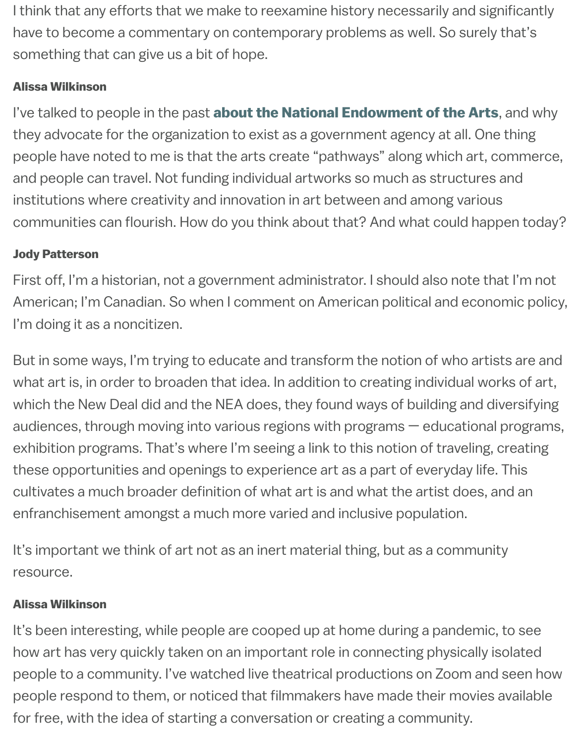I've talked to people in the past about the National Endowment of the Arts they advocate for the organization to exist as a government agency at all. One people have noted to me is that the arts create "pathways" along which art, c and people can travel. Not funding individual artworks so much as structures institutions where creativity and innovation in art between and among variou communities can flourish. How do you think about that? And what could hap

#### Jody Patterson

First off, I'm a historian, not a government administrator. I should also note th American; I'm Canadian. So when I comment on American political and economic political and economic political and  $m$ I'm doing it as a noncitizen.

But in some ways, I'm trying to educate and transform the notion of who artistically are and  $\alpha$ what art is, in order to broaden that idea. In addition to creating individual wo which the New Deal did and the NEA does, they found ways of building and d audiences, through moving into various regions with programs  $-$  educational exhibition programs. That's where I'm seeing a link to this notion of traveling, these opportunities and openings to experience art as a part of everyday life. cultivates a much broader definition of what art is and what the artist does, a enfranchisement amongst a much more varied and inclusive population.

It's important we think of art not as an inert material thing, but as a community resource.

### Alissa Wilkinson

It's been interesting, while people are cooped up at home during a pandemic how art has very quickly taken on an important role in connecting physically is people to a community. I've watched live theatrical productions on Zoom and people respond to them, or noticed that filmmakers have made their movies for free, with the idea of starting a conversation or creating a community.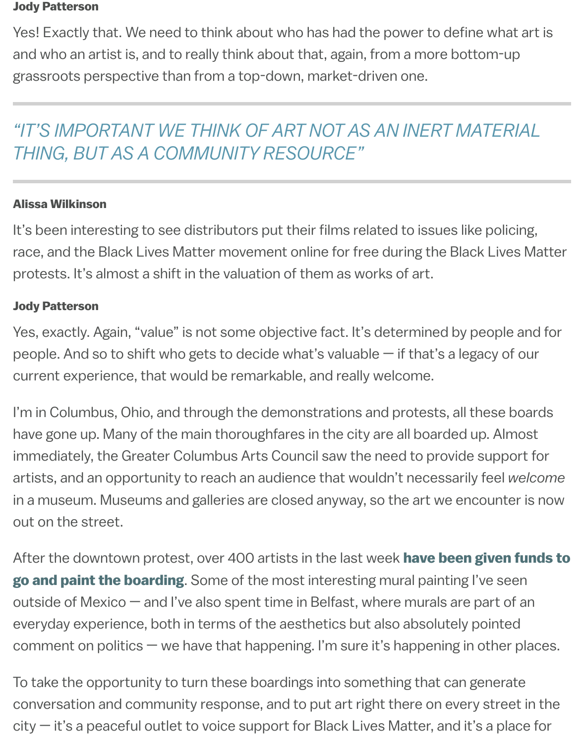## *"IT'S IMPORTANT WE THINK OF ART NOT AS AN INERT MATERIAL THING, BUT AS A COMMUNITY RESOURCE"*

#### Alissa Wilkinson

It's been interesting to see distributors put their films related to issues like po race, and the Black Lives Matter movement online for free during the Black L protests. It's almost a shift in the valuation of them as works of art.

#### Jody Patterson

Yes, exactly. Again, "value" is not some objective fact. It's determined by people and for and formulate and for people. And so to shift who gets to decide what's valuable  $-$  if that's a legacy current experience, that would be remarkable, and really welcome.

I'm in Columbus, Ohio, and through the demonstrations and protests, all thes have gone up. Many of the main thoroughfares in the city are all boarded up. / immediately, the Greater Columbus Arts Council saw the need to provide sup artists, and an opportunity to reach an audience that wouldn't necessarily fee in a museum. Museums and galleries are closed anyway, so the art we encou out on the street.

After the downtown protest, over 400 artists in the last week have been given go and paint the boarding. Some of the most interesting mural painting I've outside of Mexico  $-$  and I've also spent time in Belfast, where murals are part everyday experience, both in terms of the aesthetics but also absolutely poir comment on politics  $-$  we have that happening. I'm sure it's happening in oth

To take the opportunity to turn these boardings into something that can gene conversation and community response, and to put art right there on every st  $city - it's$  a peaceful outlet to voice support for Black Lives Matter, and it's a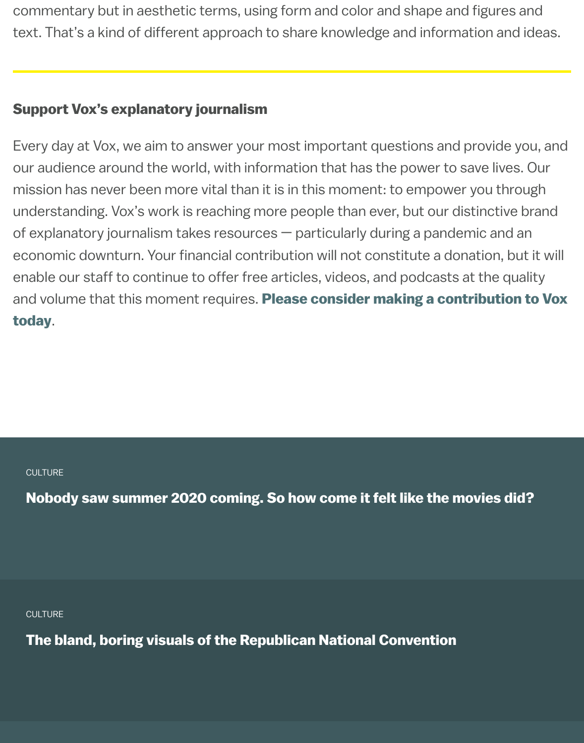#### Support Vox's explanatory journalism

Every day at Vox, we aim to answer your most important questions and provi our audience around the world, with information that has the power to save I mission has never been more vital than it is in this moment: to empower you understanding. Vox's work is reaching more people than ever, but our distinctive of explanatory journalism takes resources  $-$  particularly during a pandemic a economic downturn. Your financial contribution will not constitute a donation enable our staff to continue to offer free articles, videos, and podcasts at the and volume that this moment requires. Please consider making a contribut today.

**CULTURE** 

Nobody saw summer 2020 coming. So how come it felt like the movies

**CULTURE** 

[The bland, boring visuals of the Republican National Convention](https://www.vox.com/culture/21399534/pandemic-movies-apocalypse-quarantine)